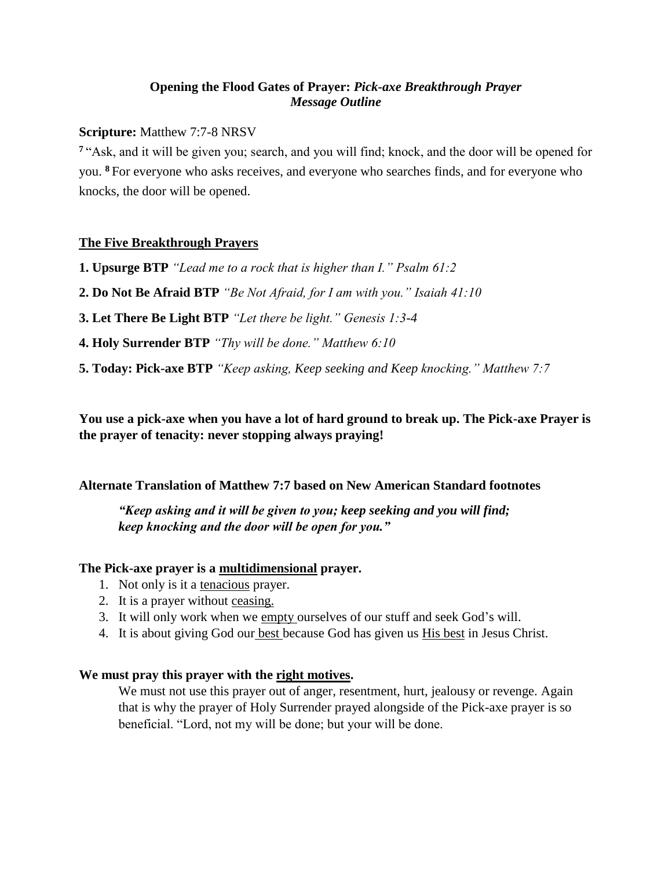# **Opening the Flood Gates of Prayer:** *Pick-axe Breakthrough Prayer Message Outline*

## **Scripture:** Matthew 7:7-8 NRSV

**<sup>7</sup>** "Ask, and it will be given you; search, and you will find; knock, and the door will be opened for you. **<sup>8</sup>** For everyone who asks receives, and everyone who searches finds, and for everyone who knocks, the door will be opened.

# **The Five Breakthrough Prayers**

**1. Upsurge BTP** *"Lead me to a rock that is higher than I." Psalm 61:2*

**2. Do Not Be Afraid BTP** *"Be Not Afraid, for I am with you." Isaiah 41:10*

**3. Let There Be Light BTP** *"Let there be light." Genesis 1:3-4*

**4. Holy Surrender BTP** *"Thy will be done." Matthew 6:10*

**5. Today: Pick-axe BTP** *"Keep asking, Keep seeking and Keep knocking." Matthew 7:7*

**You use a pick-axe when you have a lot of hard ground to break up. The Pick-axe Prayer is the prayer of tenacity: never stopping always praying!**

### **Alternate Translation of Matthew 7:7 based on New American Standard footnotes**

*"Keep asking and it will be given to you; keep seeking and you will find; keep knocking and the door will be open for you."*

### **The Pick-axe prayer is a multidimensional prayer.**

- 1. Not only is it a tenacious prayer.
- 2. It is a prayer without ceasing.
- 3. It will only work when we empty ourselves of our stuff and seek God's will.
- 4. It is about giving God our best because God has given us His best in Jesus Christ.

# We must pray this prayer with the <u>right motives</u>.

We must not use this prayer out of anger, resentment, hurt, jealousy or revenge. Again that is why the prayer of Holy Surrender prayed alongside of the Pick-axe prayer is so beneficial. "Lord, not my will be done; but your will be done.